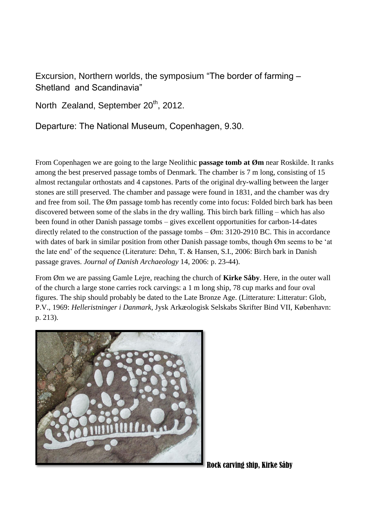Excursion, Northern worlds, the symposium "The border of farming – Shetland and Scandinavia"

North Zealand, September 20<sup>th</sup>, 2012.

Departure: The National Museum, Copenhagen, 9.30.

From Copenhagen we are going to the large Neolithic **passage tomb at Øm** near Roskilde. It ranks among the best preserved passage tombs of Denmark. The chamber is 7 m long, consisting of 15 almost rectangular orthostats and 4 capstones. Parts of the original dry-walling between the larger stones are still preserved. The chamber and passage were found in 1831, and the chamber was dry and free from soil. The Øm passage tomb has recently come into focus: Folded birch bark has been discovered between some of the slabs in the dry walling. This birch bark filling – which has also been found in other Danish passage tombs – gives excellent opportunities for carbon-14-dates directly related to the construction of the passage tombs  $-\emptyset$ m: 3120-2910 BC. This in accordance with dates of bark in similar position from other Danish passage tombs, though Øm seems to be 'at the late end' of the sequence (Literature: Dehn, T. & Hansen, S.I., 2006: Birch bark in Danish passage graves. *Journal of Danish Archaeology* 14, 2006: p. 23-44).

From Øm we are passing Gamle Lejre, reaching the church of **Kirke Såby**. Here, in the outer wall of the church a large stone carries rock carvings: a 1 m long ship, 78 cup marks and four oval figures. The ship should probably be dated to the Late Bronze Age. (Litterature: Litteratur: Glob, P.V., 1969: *Helleristninger i Danmark*, Jysk Arkæologisk Selskabs Skrifter Bind VII, København: p. 213).



Rock carving ship, Kirke Såby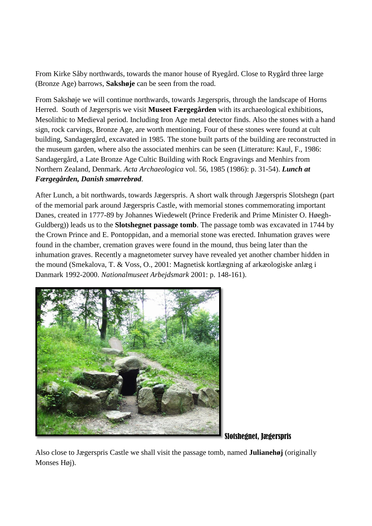From Kirke Såby northwards, towards the manor house of Ryegård. Close to Rygård three large (Bronze Age) barrows, **Sakshøje** can be seen from the road.

From Sakshøje we will continue northwards, towards Jægerspris, through the landscape of Horns Herred. South of Jægerspris we visit **Museet Færgegården** with its archaeological exhibitions, Mesolithic to Medieval period. Including Iron Age metal detector finds. Also the stones with a hand sign, rock carvings, Bronze Age, are worth mentioning. Four of these stones were found at cult building, Sandagergård, excavated in 1985. The stone built parts of the building are reconstructed in the museum garden, where also the associated menhirs can be seen (Litterature: Kaul, F., 1986: Sandagergård, a Late Bronze Age Cultic Building with Rock Engravings and Menhirs from Northern Zealand, Denmark. *Acta Archaeologica* vol. 56, 1985 (1986): p. 31-54). *Lunch at Færgegården, Danish smørrebrød.* 

After Lunch, a bit northwards, towards Jægerspris. A short walk through Jægerspris Slotshegn (part of the memorial park around Jægerspris Castle, with memorial stones commemorating important Danes, created in 1777-89 by Johannes Wiedewelt (Prince Frederik and Prime Minister O. Høegh-Guldberg)) leads us to the **Slotshegnet passage tomb**. The passage tomb was excavated in 1744 by the Crown Prince and E. Pontoppidan, and a memorial stone was erected. Inhumation graves were found in the chamber, cremation graves were found in the mound, thus being later than the inhumation graves. Recently a magnetometer survey have revealed yet another chamber hidden in the mound (Smekalova, T. & Voss, O., 2001: Magnetisk kortlægning af arkæologiske anlæg i Danmark 1992-2000. *Nationalmuseet Arbejdsmark* 2001: p. 148-161).



Slotshegnet, Jægerspris

Also close to Jægerspris Castle we shall visit the passage tomb, named **Julianehøj** (originally Monses Høj).